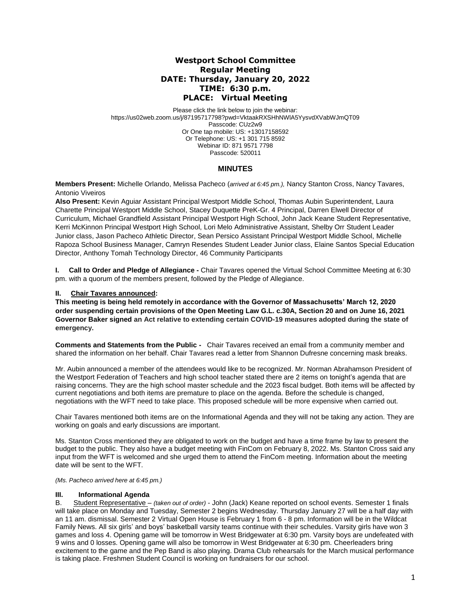# **Westport School Committee Regular Meeting DATE: Thursday, January 20, 2022 TIME: 6:30 p.m. PLACE: Virtual Meeting**

Please click the link below to join the webinar: https://us02web.zoom.us/j/87195717798?pwd=VktaakRXSHhNWlA5YysvdXVabWJmQT09 Passcode: CUz2w9 Or One tap mobile: US: +13017158592 Or Telephone: US: +1 301 715 8592 Webinar ID: 871 9571 7798 Passcode: 520011

# **MINUTES**

**Members Present:** Michelle Orlando, Melissa Pacheco (*arrived at 6:45 pm.),* Nancy Stanton Cross, Nancy Tavares, Antonio Viveiros

**Also Present:** Kevin Aguiar Assistant Principal Westport Middle School, Thomas Aubin Superintendent, Laura Charette Principal Westport Middle School, Stacey Duquette PreK-Gr. 4 Principal, Darren Elwell Director of Curriculum, Michael Grandfield Assistant Principal Westport High School, John Jack Keane Student Representative, Kerri McKinnon Principal Westport High School, Lori Melo Administrative Assistant, Shelby Orr Student Leader Junior class, Jason Pacheco Athletic Director, Sean Persico Assistant Principal Westport Middle School, Michelle Rapoza School Business Manager, Camryn Resendes Student Leader Junior class, Elaine Santos Special Education Director, Anthony Tomah Technology Director, 46 Community Participants

**I. Call to Order and Pledge of Allegiance -** Chair Tavares opened the Virtual School Committee Meeting at 6:30 pm. with a quorum of the members present, followed by the Pledge of Allegiance.

### **II. Chair Tavares announced:**

**This meeting is being held remotely in accordance with the Governor of Massachusetts' March 12, 2020 order suspending certain provisions of the Open Meeting Law G.L. c.30A, Section 20 and on June 16, 2021 Governor Baker signed an Act relative to extending certain COVID-19 measures adopted during the state of emergency.**

**Comments and Statements from the Public -** Chair Tavares received an email from a community member and shared the information on her behalf. Chair Tavares read a letter from Shannon Dufresne concerning mask breaks.

Mr. Aubin announced a member of the attendees would like to be recognized. Mr. Norman Abrahamson President of the Westport Federation of Teachers and high school teacher stated there are 2 items on tonight's agenda that are raising concerns. They are the high school master schedule and the 2023 fiscal budget. Both items will be affected by current negotiations and both items are premature to place on the agenda. Before the schedule is changed, negotiations with the WFT need to take place. This proposed schedule will be more expensive when carried out.

Chair Tavares mentioned both items are on the Informational Agenda and they will not be taking any action. They are working on goals and early discussions are important.

Ms. Stanton Cross mentioned they are obligated to work on the budget and have a time frame by law to present the budget to the public. They also have a budget meeting with FinCom on February 8, 2022. Ms. Stanton Cross said any input from the WFT is welcomed and she urged them to attend the FinCom meeting. Information about the meeting date will be sent to the WFT.

### *(Ms. Pacheco arrived here at 6:45 pm.)*

## **III. Informational Agenda**

B. Student Representative – *(taken out of order)* - John (Jack) Keane reported on school events. Semester 1 finals will take place on Monday and Tuesday, Semester 2 begins Wednesday. Thursday January 27 will be a half day with an 11 am. dismissal. Semester 2 Virtual Open House is February 1 from 6 - 8 pm. Information will be in the Wildcat Family News. All six girls' and boys' basketball varsity teams continue with their schedules. Varsity girls have won 3 games and loss 4. Opening game will be tomorrow in West Bridgewater at 6:30 pm. Varsity boys are undefeated with 9 wins and 0 losses. Opening game will also be tomorrow in West Bridgewater at 6:30 pm. Cheerleaders bring excitement to the game and the Pep Band is also playing. Drama Club rehearsals for the March musical performance is taking place. Freshmen Student Council is working on fundraisers for our school.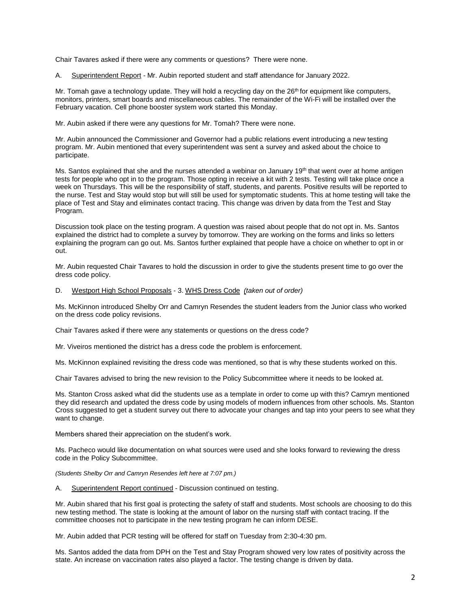Chair Tavares asked if there were any comments or questions? There were none.

A. Superintendent Report - Mr. Aubin reported student and staff attendance for January 2022.

Mr. Tomah gave a technology update. They will hold a recycling day on the  $26<sup>th</sup>$  for equipment like computers, monitors, printers, smart boards and miscellaneous cables. The remainder of the Wi-Fi will be installed over the February vacation. Cell phone booster system work started this Monday.

Mr. Aubin asked if there were any questions for Mr. Tomah? There were none.

Mr. Aubin announced the Commissioner and Governor had a public relations event introducing a new testing program. Mr. Aubin mentioned that every superintendent was sent a survey and asked about the choice to participate.

Ms. Santos explained that she and the nurses attended a webinar on January 19<sup>th</sup> that went over at home antigen tests for people who opt in to the program. Those opting in receive a kit with 2 tests. Testing will take place once a week on Thursdays. This will be the responsibility of staff, students, and parents. Positive results will be reported to the nurse. Test and Stay would stop but will still be used for symptomatic students. This at home testing will take the place of Test and Stay and eliminates contact tracing. This change was driven by data from the Test and Stay Program.

Discussion took place on the testing program. A question was raised about people that do not opt in. Ms. Santos explained the district had to complete a survey by tomorrow. They are working on the forms and links so letters explaining the program can go out. Ms. Santos further explained that people have a choice on whether to opt in or out.

Mr. Aubin requested Chair Tavares to hold the discussion in order to give the students present time to go over the dress code policy.

### D. Westport High School Proposals - 3. WHS Dress Code *(taken out of order)*

Ms. McKinnon introduced Shelby Orr and Camryn Resendes the student leaders from the Junior class who worked on the dress code policy revisions.

Chair Tavares asked if there were any statements or questions on the dress code?

Mr. Viveiros mentioned the district has a dress code the problem is enforcement.

Ms. McKinnon explained revisiting the dress code was mentioned, so that is why these students worked on this.

Chair Tavares advised to bring the new revision to the Policy Subcommittee where it needs to be looked at.

Ms. Stanton Cross asked what did the students use as a template in order to come up with this? Camryn mentioned they did research and updated the dress code by using models of modern influences from other schools. Ms. Stanton Cross suggested to get a student survey out there to advocate your changes and tap into your peers to see what they want to change.

Members shared their appreciation on the student's work.

Ms. Pacheco would like documentation on what sources were used and she looks forward to reviewing the dress code in the Policy Subcommittee.

*(Students Shelby Orr and Camryn Resendes left here at 7:07 pm.)*

A. Superintendent Report continued - Discussion continued on testing.

Mr. Aubin shared that his first goal is protecting the safety of staff and students. Most schools are choosing to do this new testing method. The state is looking at the amount of labor on the nursing staff with contact tracing. If the committee chooses not to participate in the new testing program he can inform DESE.

Mr. Aubin added that PCR testing will be offered for staff on Tuesday from 2:30-4:30 pm.

Ms. Santos added the data from DPH on the Test and Stay Program showed very low rates of positivity across the state. An increase on vaccination rates also played a factor. The testing change is driven by data.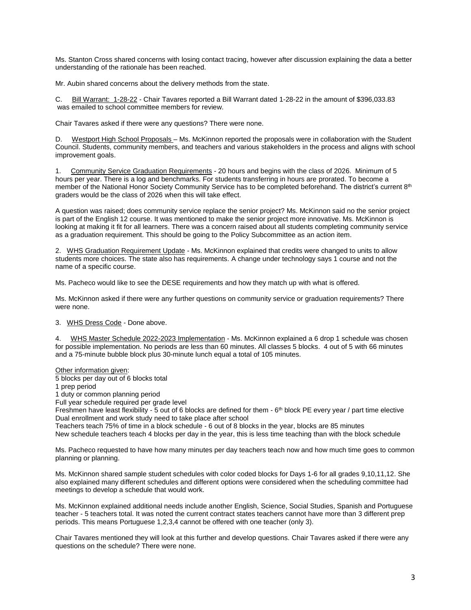Ms. Stanton Cross shared concerns with losing contact tracing, however after discussion explaining the data a better understanding of the rationale has been reached.

Mr. Aubin shared concerns about the delivery methods from the state.

C. Bill Warrant: 1-28-22 - Chair Tavares reported a Bill Warrant dated 1-28-22 in the amount of \$396,033.83 was emailed to school committee members for review.

Chair Tavares asked if there were any questions? There were none.

D. Westport High School Proposals – Ms. McKinnon reported the proposals were in collaboration with the Student Council. Students, community members, and teachers and various stakeholders in the process and aligns with school improvement goals.

1. Community Service Graduation Requirements - 20 hours and begins with the class of 2026. Minimum of 5 hours per year. There is a log and benchmarks. For students transferring in hours are prorated. To become a member of the National Honor Society Community Service has to be completed beforehand. The district's current 8<sup>th</sup> graders would be the class of 2026 when this will take effect.

A question was raised; does community service replace the senior project? Ms. McKinnon said no the senior project is part of the English 12 course. It was mentioned to make the senior project more innovative. Ms. McKinnon is looking at making it fit for all learners. There was a concern raised about all students completing community service as a graduation requirement. This should be going to the Policy Subcommittee as an action item.

2. WHS Graduation Requirement Update - Ms. McKinnon explained that credits were changed to units to allow students more choices. The state also has requirements. A change under technology says 1 course and not the name of a specific course.

Ms. Pacheco would like to see the DESE requirements and how they match up with what is offered.

Ms. McKinnon asked if there were any further questions on community service or graduation requirements? There were none.

3. WHS Dress Code - Done above.

4. WHS Master Schedule 2022-2023 Implementation - Ms. McKinnon explained a 6 drop 1 schedule was chosen for possible implementation. No periods are less than 60 minutes. All classes 5 blocks. 4 out of 5 with 66 minutes and a 75-minute bubble block plus 30-minute lunch equal a total of 105 minutes.

Other information given:

5 blocks per day out of 6 blocks total

1 prep period

1 duty or common planning period

Full year schedule required per grade level

Freshmen have least flexibility - 5 out of 6 blocks are defined for them - 6<sup>th</sup> block PE every year / part time elective Dual enrollment and work study need to take place after school

Teachers teach 75% of time in a block schedule - 6 out of 8 blocks in the year, blocks are 85 minutes

New schedule teachers teach 4 blocks per day in the year, this is less time teaching than with the block schedule

Ms. Pacheco requested to have how many minutes per day teachers teach now and how much time goes to common planning or planning.

Ms. McKinnon shared sample student schedules with color coded blocks for Days 1-6 for all grades 9,10,11,12. She also explained many different schedules and different options were considered when the scheduling committee had meetings to develop a schedule that would work.

Ms. McKinnon explained additional needs include another English, Science, Social Studies, Spanish and Portuguese teacher - 5 teachers total. It was noted the current contract states teachers cannot have more than 3 different prep periods. This means Portuguese 1,2,3,4 cannot be offered with one teacher (only 3).

Chair Tavares mentioned they will look at this further and develop questions. Chair Tavares asked if there were any questions on the schedule? There were none.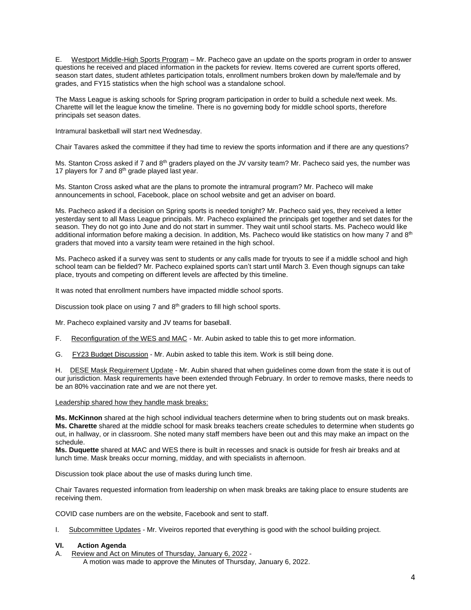E. Westport Middle-High Sports Program – Mr. Pacheco gave an update on the sports program in order to answer questions he received and placed information in the packets for review. Items covered are current sports offered, season start dates, student athletes participation totals, enrollment numbers broken down by male/female and by grades, and FY15 statistics when the high school was a standalone school.

The Mass League is asking schools for Spring program participation in order to build a schedule next week. Ms. Charette will let the league know the timeline. There is no governing body for middle school sports, therefore principals set season dates.

Intramural basketball will start next Wednesday.

Chair Tavares asked the committee if they had time to review the sports information and if there are any questions?

Ms. Stanton Cross asked if 7 and  $8<sup>th</sup>$  graders played on the JV varsity team? Mr. Pacheco said yes, the number was 17 players for 7 and  $8<sup>th</sup>$  grade played last year.

Ms. Stanton Cross asked what are the plans to promote the intramural program? Mr. Pacheco will make announcements in school, Facebook, place on school website and get an adviser on board.

Ms. Pacheco asked if a decision on Spring sports is needed tonight? Mr. Pacheco said yes, they received a letter yesterday sent to all Mass League principals. Mr. Pacheco explained the principals get together and set dates for the season. They do not go into June and do not start in summer. They wait until school starts. Ms. Pacheco would like additional information before making a decision. In addition, Ms. Pacheco would like statistics on how many 7 and 8<sup>th</sup> graders that moved into a varsity team were retained in the high school.

Ms. Pacheco asked if a survey was sent to students or any calls made for tryouts to see if a middle school and high school team can be fielded? Mr. Pacheco explained sports can't start until March 3. Even though signups can take place, tryouts and competing on different levels are affected by this timeline.

It was noted that enrollment numbers have impacted middle school sports.

Discussion took place on using 7 and 8<sup>th</sup> graders to fill high school sports.

Mr. Pacheco explained varsity and JV teams for baseball.

- F. Reconfiguration of the WES and MAC Mr. Aubin asked to table this to get more information.
- G. FY23 Budget Discussion Mr. Aubin asked to table this item. Work is still being done.

H. DESE Mask Requirement Update - Mr. Aubin shared that when guidelines come down from the state it is out of our jurisdiction. Mask requirements have been extended through February. In order to remove masks, there needs to be an 80% vaccination rate and we are not there yet.

Leadership shared how they handle mask breaks:

**Ms. McKinnon** shared at the high school individual teachers determine when to bring students out on mask breaks. **Ms. Charette** shared at the middle school for mask breaks teachers create schedules to determine when students go out, in hallway, or in classroom. She noted many staff members have been out and this may make an impact on the schedule.

**Ms. Duquette** shared at MAC and WES there is built in recesses and snack is outside for fresh air breaks and at lunch time. Mask breaks occur morning, midday, and with specialists in afternoon.

Discussion took place about the use of masks during lunch time.

Chair Tavares requested information from leadership on when mask breaks are taking place to ensure students are receiving them.

COVID case numbers are on the website, Facebook and sent to staff.

I. Subcommittee Updates - Mr. Viveiros reported that everything is good with the school building project.

### **VI. Action Agenda**

A. Review and Act on Minutes of Thursday, January 6, 2022 -

A motion was made to approve the Minutes of Thursday, January 6, 2022.